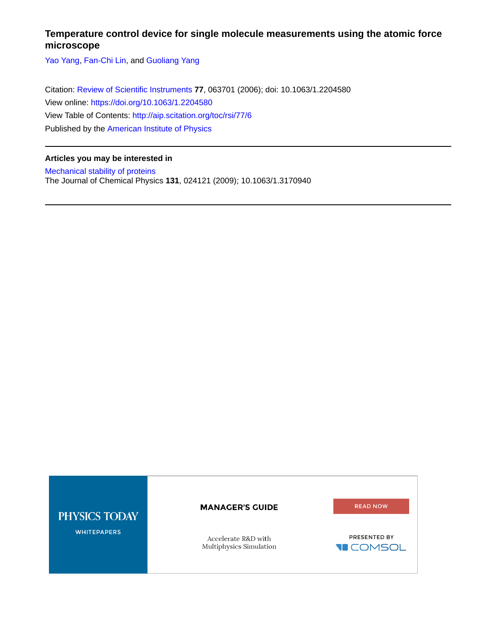## **Temperature control device for single molecule measurements using the atomic force microscope**

[Yao Yang,](http://aip.scitation.org/author/Yang%2C+Yao) [Fan-Chi Lin](http://aip.scitation.org/author/Lin%2C+Fan-Chi), and [Guoliang Yang](http://aip.scitation.org/author/Yang%2C+Guoliang)

Citation: [Review of Scientific Instruments](/loi/rsi) **77**, 063701 (2006); doi: 10.1063/1.2204580 View online: <https://doi.org/10.1063/1.2204580> View Table of Contents: <http://aip.scitation.org/toc/rsi/77/6> Published by the [American Institute of Physics](http://aip.scitation.org/publisher/)

## **Articles you may be interested in**

[Mechanical stability of proteins](http://aip.scitation.org/doi/abs/10.1063/1.3170940) The Journal of Chemical Physics **131**, 024121 (2009); 10.1063/1.3170940

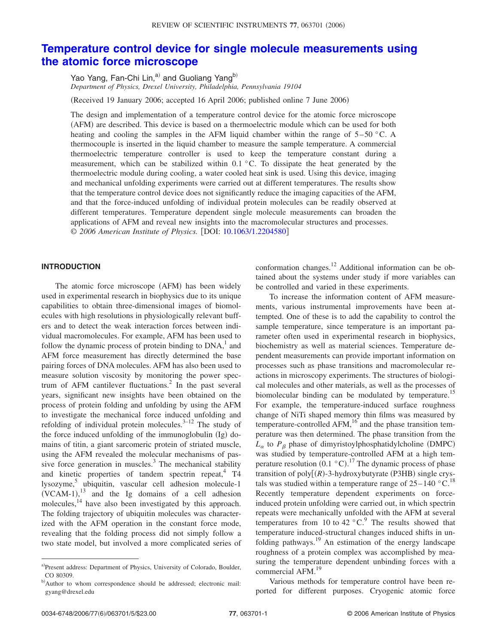# **[Temperature control device for single molecule measurements using](http://dx.doi.org/10.1063/1.2204580) [the atomic force microscope](http://dx.doi.org/10.1063/1.2204580)**

Yao Yang, Fan-Chi Lin,<sup>a)</sup> and Guoliang Yang<sup>b)</sup> *Department of Physics, Drexel University, Philadelphia, Pennsylvania 19104*

(Received 19 January 2006; accepted 16 April 2006; published online 7 June 2006)

The design and implementation of a temperature control device for the atomic force microscope (AFM) are described. This device is based on a thermoelectric module which can be used for both heating and cooling the samples in the AFM liquid chamber within the range of  $5-50$  °C. A thermocouple is inserted in the liquid chamber to measure the sample temperature. A commercial thermoelectric temperature controller is used to keep the temperature constant during a measurement, which can be stabilized within 0.1 °C. To dissipate the heat generated by the thermoelectric module during cooling, a water cooled heat sink is used. Using this device, imaging and mechanical unfolding experiments were carried out at different temperatures. The results show that the temperature control device does not significantly reduce the imaging capacities of the AFM, and that the force-induced unfolding of individual protein molecules can be readily observed at different temperatures. Temperature dependent single molecule measurements can broaden the applications of AFM and reveal new insights into the macromolecular structures and processes. © 2006 American Institute of Physics. [DOI: [10.1063/1.2204580](http://dx.doi.org/10.1063/1.2204580)]

## **INTRODUCTION**

The atomic force microscope (AFM) has been widely used in experimental research in biophysics due to its unique capabilities to obtain three-dimensional images of biomolecules with high resolutions in physiologically relevant buffers and to detect the weak interaction forces between individual macromolecules. For example, AFM has been used to follow the dynamic process of protein binding to  $DNA<sub>1</sub><sup>1</sup>$  and AFM force measurement has directly determined the base pairing forces of DNA molecules. AFM has also been used to measure solution viscosity by monitoring the power spectrum of AFM cantilever fluctuations.<sup>2</sup> In the past several years, significant new insights have been obtained on the process of protein folding and unfolding by using the AFM to investigate the mechanical force induced unfolding and refolding of individual protein molecules. $3-12$  The study of the force induced unfolding of the immunoglobulin (Ig) domains of titin, a giant sarcomeric protein of striated muscle, using the AFM revealed the molecular mechanisms of passive force generation in muscles. $3$  The mechanical stability and kinetic properties of tandem spectrin repeat, $4$  T4 lysozyme, $5$  ubiquitin, vascular cell adhesion molecule-1  $(VCAM-1)$ ,<sup>13</sup> and the Ig domains of a cell adhesion molecules,<sup>14</sup> have also been investigated by this approach. The folding trajectory of ubiquitin molecules was characterized with the AFM operation in the constant force mode, revealing that the folding process did not simply follow a two state model, but involved a more complicated series of conformation changes.<sup>12</sup> Additional information can be obtained about the systems under study if more variables can be controlled and varied in these experiments.

To increase the information content of AFM measurements, various instrumental improvements have been attempted. One of these is to add the capability to control the sample temperature, since temperature is an important parameter often used in experimental research in biophysics, biochemistry as well as material sciences. Temperature dependent measurements can provide important information on processes such as phase transitions and macromolecular reactions in microscopy experiments. The structures of biological molecules and other materials, as well as the processes of biomolecular binding can be modulated by temperature.<sup>15</sup> For example, the temperature-induced surface roughness change of NiTi shaped memory thin films was measured by temperature-controlled AFM, $^{16}$  and the phase transition temperature was then determined. The phase transition from the  $L_{\alpha}$  to  $P_{\beta}$  phase of dimyristoylphosphatidylcholine (DMPC) was studied by temperature-controlled AFM at a high temperature resolution  $(0.1 \degree C)^{17}$  The dynamic process of phase transition of poly[(R)-3-hydroxybutyrate (P3HB) single crystals was studied within a temperature range of  $25-140$  °C.<sup>18</sup> Recently temperature dependent experiments on forceinduced protein unfolding were carried out, in which spectrin repeats were mechanically unfolded with the AFM at several temperatures from 10 to 42  $^{\circ}$ C.<sup>9</sup> The results showed that temperature induced-structural changes induced shifts in unfolding pathways.<sup>19</sup> An estimation of the energy landscape roughness of a protein complex was accomplished by measuring the temperature dependent unbinding forces with a commercial AFM.<sup>19</sup>

Various methods for temperature control have been reported for different purposes. Cryogenic atomic force

a)Present address: Department of Physics, University of Colorado, Boulder, CO 80309.

b)Author to whom correspondence should be addressed; electronic mail: gyang@drexel.edu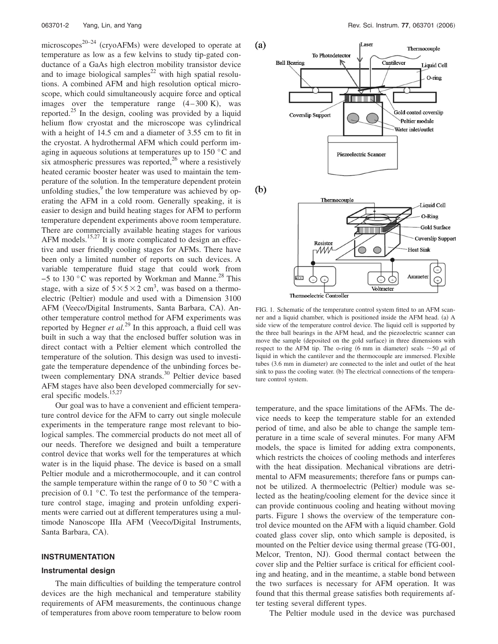microscopes<sup>20–24</sup> (cryoAFMs) were developed to operate at temperature as low as a few kelvins to study tip-gated conductance of a GaAs high electron mobility transistor device and to image biological samples<sup>22</sup> with high spatial resolutions. A combined AFM and high resolution optical microscope, which could simultaneously acquire force and optical images over the temperature range  $(4-300 \text{ K})$ , was reported.<sup>25</sup> In the design, cooling was provided by a liquid helium flow cryostat and the microscope was cylindrical with a height of 14.5 cm and a diameter of 3.55 cm to fit in the cryostat. A hydrothermal AFM which could perform imaging in aqueous solutions at temperatures up to 150 °C and six atmospheric pressures was reported, $^{26}$  where a resistively heated ceramic booster heater was used to maintain the temperature of the solution. In the temperature dependent protein unfolding studies,<sup>9</sup> the low temperature was achieved by operating the AFM in a cold room. Generally speaking, it is easier to design and build heating stages for AFM to perform temperature dependent experiments above room temperature. There are commercially available heating stages for various AFM models.<sup>15,27</sup> It is more complicated to design an effective and user friendly cooling stages for AFMs. There have been only a limited number of reports on such devices. A variable temperature fluid stage that could work from −5 to 130 °C was reported by Workman and Manne.28 This stage, with a size of  $5 \times 5 \times 2$  cm<sup>3</sup>, was based on a thermoelectric (Peltier) module and used with a Dimension 3100 AFM (Veeco/Digital Instruments, Santa Barbara, CA). Another temperature control method for AFM experiments was reported by Hegner *et al.*<sup>29</sup> In this approach, a fluid cell was built in such a way that the enclosed buffer solution was in direct contact with a Peltier element which controlled the temperature of the solution. This design was used to investigate the temperature dependence of the unbinding forces between complementary DNA strands.<sup>30</sup> Peltier device based AFM stages have also been developed commercially for several specific models.<sup>15,27</sup>

Our goal was to have a convenient and efficient temperature control device for the AFM to carry out single molecule experiments in the temperature range most relevant to biological samples. The commercial products do not meet all of our needs. Therefore we designed and built a temperature control device that works well for the temperatures at which water is in the liquid phase. The device is based on a small Peltier module and a microthermocouple, and it can control the sample temperature within the range of 0 to 50 $\degree$ C with a precision of 0.1 °C. To test the performance of the temperature control stage, imaging and protein unfolding experiments were carried out at different temperatures using a multimode Nanoscope IIIa AFM Veeco/Digital Instruments, Santa Barbara, CA).

## **INSTRUMENTATION**

#### **Instrumental design**

The main difficulties of building the temperature control devices are the high mechanical and temperature stability requirements of AFM measurements, the continuous change of temperatures from above room temperature to below room



FIG. 1. Schematic of the temperature control system fitted to an AFM scanner and a liquid chamber, which is positioned inside the AFM head. (a) A side view of the temperature control device. The liquid cell is supported by the three ball bearings in the AFM head, and the piezoelectric scanner can move the sample (deposited on the gold surface) in three dimensions with respect to the AFM tip. The o-ring (6 mm in diameter) seals  $\sim$  50  $\mu$ l of liquid in which the cantilever and the thermocouple are immersed. Flexible tubes (3.6 mm in diameter) are connected to the inlet and outlet of the heat sink to pass the cooling water. (b) The electrical connections of the temperature control system.

temperature, and the space limitations of the AFMs. The device needs to keep the temperature stable for an extended period of time, and also be able to change the sample temperature in a time scale of several minutes. For many AFM models, the space is limited for adding extra components, which restricts the choices of cooling methods and interferes with the heat dissipation. Mechanical vibrations are detrimental to AFM measurements; therefore fans or pumps cannot be utilized. A thermoelectric (Peltier) module was selected as the heating/cooling element for the device since it can provide continuous cooling and heating without moving parts. Figure 1 shows the overview of the temperature control device mounted on the AFM with a liquid chamber. Gold coated glass cover slip, onto which sample is deposited, is mounted on the Peltier device using thermal grease (TG-001, Melcor, Trenton, NJ). Good thermal contact between the cover slip and the Peltier surface is critical for efficient cooling and heating, and in the meantime, a stable bond between the two surfaces is necessary for AFM operation. It was found that this thermal grease satisfies both requirements after testing several different types.

The Peltier module used in the device was purchased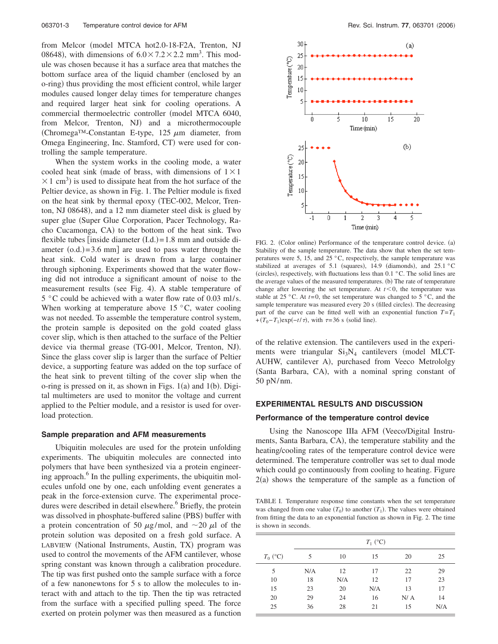from Melcor (model MTCA hot2.0-18-F2A, Trenton, NJ 08648), with dimensions of  $6.0 \times 7.2 \times 2.2$  mm<sup>3</sup>. This module was chosen because it has a surface area that matches the bottom surface area of the liquid chamber (enclosed by an o-ring) thus providing the most efficient control, while larger modules caused longer delay times for temperature changes and required larger heat sink for cooling operations. A commercial thermoelectric controller (model MTCA 6040, from Melcor, Trenton, NJ) and a microthermocouple (Chromega<sup>TM</sup>-Constantan E-type, 125  $\mu$ m diameter, from Omega Engineering, Inc. Stamford, CT) were used for controlling the sample temperature.

When the system works in the cooling mode, a water cooled heat sink (made of brass, with dimensions of  $1 \times 1$  $\times$  1 cm<sup>3</sup>) is used to dissipate heat from the hot surface of the Peltier device, as shown in Fig. 1. The Peltier module is fixed on the heat sink by thermal epoxy TEC-002, Melcor, Trenton, NJ 08648), and a 12 mm diameter steel disk is glued by super glue (Super Glue Corporation, Pacer Technology, Racho Cucamonga, CA) to the bottom of the heat sink. Two flexible tubes [inside diameter  $(I.d.) = 1.8$  mm and outside diameter  $(o.d.) = 3.6$  mm] are used to pass water through the heat sink. Cold water is drawn from a large container through siphoning. Experiments showed that the water flowing did not introduce a significant amount of noise to the measurement results (see Fig. 4). A stable temperature of 5 °C could be achieved with a water flow rate of 0.03 ml/s. When working at temperature above  $15\text{ °C}$ , water cooling was not needed. To assemble the temperature control system, the protein sample is deposited on the gold coated glass cover slip, which is then attached to the surface of the Peltier device via thermal grease (TG-001, Melcor, Trenton, NJ). Since the glass cover slip is larger than the surface of Peltier device, a supporting feature was added on the top surface of the heat sink to prevent tilting of the cover slip when the o-ring is pressed on it, as shown in Figs.  $1(a)$  and  $1(b)$ . Digital multimeters are used to monitor the voltage and current applied to the Peltier module, and a resistor is used for overload protection.

#### **Sample preparation and AFM measurements**

Ubiquitin molecules are used for the protein unfolding experiments. The ubiquitin molecules are connected into polymers that have been synthesized via a protein engineering approach.<sup>6</sup> In the pulling experiments, the ubiquitin molecules unfold one by one, each unfolding event generates a peak in the force-extension curve. The experimental procedures were described in detail elsewhere.<sup>6</sup> Briefly, the protein was dissolved in phosphate-buffered saline (PBS) buffer with a protein concentration of 50  $\mu$ g/mol, and ~20  $\mu$ l of the protein solution was deposited on a fresh gold surface. A LABVIEW (National Instruments, Austin, TX) program was used to control the movements of the AFM cantilever, whose spring constant was known through a calibration procedure. The tip was first pushed onto the sample surface with a force of a few nanonewtons for 5 s to allow the molecules to interact with and attach to the tip. Then the tip was retracted from the surface with a specified pulling speed. The force exerted on protein polymer was then measured as a function



FIG. 2. (Color online) Performance of the temperature control device. (a) Stability of the sample temperature. The data show that when the set temperatures were 5, 15, and 25 °C, respectively, the sample temperature was stabilized at averages of 5.1 (squares), 14.9 (diamonds), and  $25.1 \text{ °C}$ (circles), respectively, with fluctuations less than  $0.1 \degree C$ . The solid lines are the average values of the measured temperatures. (b) The rate of temperature change after lowering the set temperature. At  $t < 0$ , the temperature was stable at 25 °C. At  $t=0$ , the set temperature was changed to 5 °C, and the sample temperature was measured every 20 s (filled circles). The decreasing part of the curve can be fitted well with an exponential function  $T = T_1$  $+(T_0-T_1)\exp(-t/\tau)$ , with  $\tau=36$  s (solid line).

of the relative extension. The cantilevers used in the experiments were triangular  $Si<sub>3</sub>N<sub>4</sub>$  cantilevers (model MLCT-AUHW, cantilever A), purchased from Veeco Metrololgy (Santa Barbara, CA), with a nominal spring constant of 50 pN/nm.

## **EXPERIMENTAL RESULTS AND DISCUSSION**

#### **Performance of the temperature control device**

Using the Nanoscope IIIa AFM Veeco/Digital Instruments, Santa Barbara, CA), the temperature stability and the heating/cooling rates of the temperature control device were determined. The temperature controller was set to dual mode which could go continuously from cooling to heating. Figure  $2(a)$  shows the temperature of the sample as a function of

TABLE I. Temperature response time constants when the set temperature was changed from one value  $(T_0)$  to another  $(T_1)$ . The values were obtained from fitting the data to an exponential function as shown in Fig. 2. The time is shown in seconds.

|            | $T_1$ (°C) |     |     |     |     |
|------------|------------|-----|-----|-----|-----|
| $T_0$ (°C) | 5          | 10  | 15  | 20  | 25  |
| 5          | N/A        | 12  | 17  | 22  | 29  |
| 10         | 18         | N/A | 12  | 17  | 23  |
| 15         | 23         | 20  | N/A | 13  | 17  |
| 20         | 29         | 24  | 16  | N/A | 14  |
| 25         | 36         | 28  | 21  | 15  | N/A |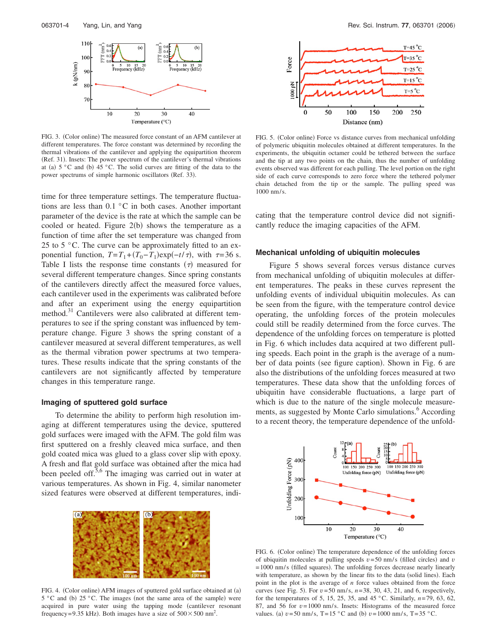

FIG. 3. (Color online) The measured force constant of an AFM cantilever at different temperatures. The force constant was determined by recording the thermal vibrations of the cantilever and applying the equipartition theorem (Ref. 31). Insets: The power spectrum of the cantilever's thermal vibrations at (a)  $5 \degree$ C and (b)  $45 \degree$ C. The solid curves are fitting of the data to the power spectrums of simple harmonic oscillators (Ref. 33).

time for three temperature settings. The temperature fluctuations are less than 0.1 °C in both cases. Another important parameter of the device is the rate at which the sample can be cooled or heated. Figure  $2(b)$  shows the temperature as a function of time after the set temperature was changed from 25 to 5  $\degree$ C. The curve can be approximately fitted to an exponential function,  $T = T_1 + (T_0 - T_1) \exp(-t/\tau)$ , with  $\tau = 36$  s. Table I lists the response time constants  $(\tau)$  measured for several different temperature changes. Since spring constants of the cantilevers directly affect the measured force values, each cantilever used in the experiments was calibrated before and after an experiment using the energy equipartition method.<sup>31</sup> Cantilevers were also calibrated at different temperatures to see if the spring constant was influenced by temperature change. Figure 3 shows the spring constant of a cantilever measured at several different temperatures, as well as the thermal vibration power spectrums at two temperatures. These results indicate that the spring constants of the cantilevers are not significantly affected by temperature changes in this temperature range.

## **Imaging of sputtered gold surface**

To determine the ability to perform high resolution imaging at different temperatures using the device, sputtered gold surfaces were imaged with the AFM. The gold film was first sputtered on a freshly cleaved mica surface, and then gold coated mica was glued to a glass cover slip with epoxy. A fresh and flat gold surface was obtained after the mica had been peeled off.<sup>5,6</sup> The imaging was carried out in water at various temperatures. As shown in Fig. 4, similar nanometer sized features were observed at different temperatures, indi-



FIG. 4. (Color online) AFM images of sputtered gold surface obtained at (a)  $5^{\circ}$ C and (b)  $25^{\circ}$ C. The images (not the same area of the sample) were acquired in pure water using the tapping mode (cantilever resonant frequency=9.35 kHz). Both images have a size of  $500 \times 500$  nm<sup>2</sup>.



FIG. 5. (Color online) Force vs distance curves from mechanical unfolding of polymeric ubiquitin molecules obtained at different temperatures. In the experiments, the ubiquitin octamer could be tethered between the surface and the tip at any two points on the chain, thus the number of unfolding events observed was different for each pulling. The level portion on the right side of each curve corresponds to zero force where the tethered polymer chain detached from the tip or the sample. The pulling speed was 1000 nm/s.

cating that the temperature control device did not significantly reduce the imaging capacities of the AFM.

### **Mechanical unfolding of ubiquitin molecules**

Figure 5 shows several forces versus distance curves from mechanical unfolding of ubiquitin molecules at different temperatures. The peaks in these curves represent the unfolding events of individual ubiquitin molecules. As can be seen from the figure, with the temperature control device operating, the unfolding forces of the protein molecules could still be readily determined from the force curves. The dependence of the unfolding forces on temperature is plotted in Fig. 6 which includes data acquired at two different pulling speeds. Each point in the graph is the average of a number of data points (see figure caption). Shown in Fig. 6 are also the distributions of the unfolding forces measured at two temperatures. These data show that the unfolding forces of ubiquitin have considerable fluctuations, a large part of which is due to the nature of the single molecule measurements, as suggested by Monte Carlo simulations.<sup>6</sup> According to a recent theory, the temperature dependence of the unfold-



FIG. 6. (Color online) The temperature dependence of the unfolding forces of ubiquitin molecules at pulling speeds  $v = 50$  nm/s (filled circles) and  $v$  $= 1000$  nm/s (filled squares). The unfolding forces decrease nearly linearly with temperature, as shown by the linear fits to the data (solid lines). Each point in the plot is the average of *n* force values obtained from the force curves (see Fig. 5). For  $v = 50$  nm/s,  $n = 38$ , 30, 43, 21, and 6, respectively, for the temperatures of 5, 15, 25, 35, and 45 °C. Similarly, *n*=79, 63, 62, 87, and 56 for *v*=1000 nm/s. Insets: Histograms of the measured force values. (a)  $v = 50$  nm/s, T=15 °C and (b)  $v = 1000$  nm/s, T=35 °C.